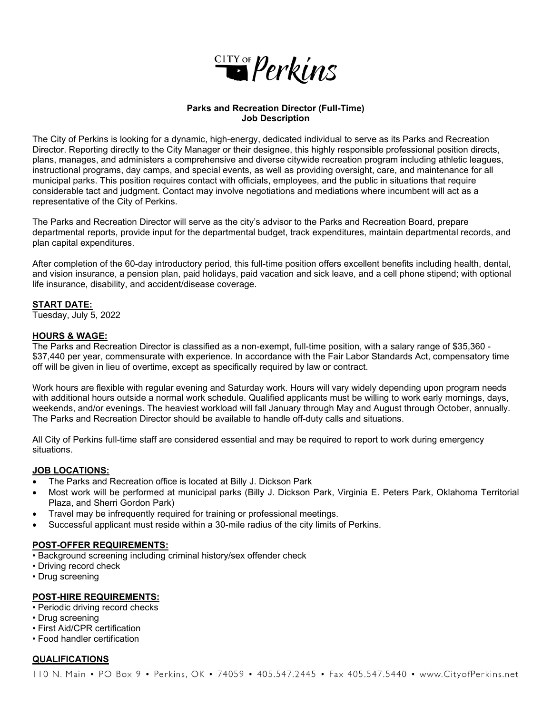

### **Parks and Recreation Director (Full-Time) Job Description**

The City of Perkins is looking for a dynamic, high-energy, dedicated individual to serve as its Parks and Recreation Director. Reporting directly to the City Manager or their designee, this highly responsible professional position directs, plans, manages, and administers a comprehensive and diverse citywide recreation program including athletic leagues, instructional programs, day camps, and special events, as well as providing oversight, care, and maintenance for all municipal parks. This position requires contact with officials, employees, and the public in situations that require considerable tact and judgment. Contact may involve negotiations and mediations where incumbent will act as a representative of the City of Perkins.

The Parks and Recreation Director will serve as the city's advisor to the Parks and Recreation Board, prepare departmental reports, provide input for the departmental budget, track expenditures, maintain departmental records, and plan capital expenditures.

After completion of the 60-day introductory period, this full-time position offers excellent benefits including health, dental, and vision insurance, a pension plan, paid holidays, paid vacation and sick leave, and a cell phone stipend; with optional life insurance, disability, and accident/disease coverage.

## **START DATE:**

Tuesday, July 5, 2022

## **HOURS & WAGE:**

The Parks and Recreation Director is classified as a non-exempt, full-time position, with a salary range of \$35,360 - \$37,440 per year, commensurate with experience. In accordance with the Fair Labor Standards Act, compensatory time off will be given in lieu of overtime, except as specifically required by law or contract.

Work hours are flexible with regular evening and Saturday work. Hours will vary widely depending upon program needs with additional hours outside a normal work schedule. Qualified applicants must be willing to work early mornings, days, weekends, and/or evenings. The heaviest workload will fall January through May and August through October, annually. The Parks and Recreation Director should be available to handle off-duty calls and situations.

All City of Perkins full-time staff are considered essential and may be required to report to work during emergency situations.

## **JOB LOCATIONS:**

- The Parks and Recreation office is located at Billy J. Dickson Park
- Most work will be performed at municipal parks (Billy J. Dickson Park, Virginia E. Peters Park, Oklahoma Territorial Plaza, and Sherri Gordon Park)
- Travel may be infrequently required for training or professional meetings.
- Successful applicant must reside within a 30-mile radius of the city limits of Perkins.

#### **POST-OFFER REQUIREMENTS:**

• Background screening including criminal history/sex offender check

- Driving record check
- Drug screening

#### **POST-HIRE REQUIREMENTS:**

- Periodic driving record checks
- Drug screening
- First Aid/CPR certification
- Food handler certification

## **QUALIFICATIONS**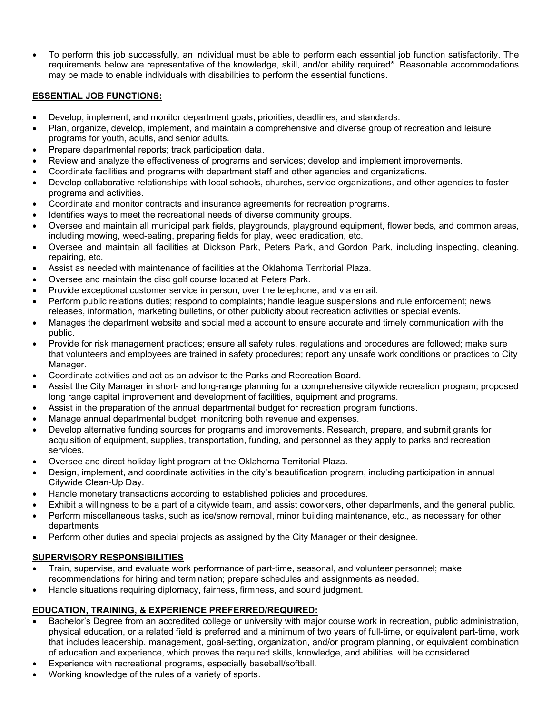• To perform this job successfully, an individual must be able to perform each essential job function satisfactorily. The requirements below are representative of the knowledge, skill, and/or ability required\*. Reasonable accommodations may be made to enable individuals with disabilities to perform the essential functions.

## **ESSENTIAL JOB FUNCTIONS:**

- Develop, implement, and monitor department goals, priorities, deadlines, and standards.
- Plan, organize, develop, implement, and maintain a comprehensive and diverse group of recreation and leisure programs for youth, adults, and senior adults.
- Prepare departmental reports; track participation data.
- Review and analyze the effectiveness of programs and services; develop and implement improvements.
- Coordinate facilities and programs with department staff and other agencies and organizations.
- Develop collaborative relationships with local schools, churches, service organizations, and other agencies to foster programs and activities.
- Coordinate and monitor contracts and insurance agreements for recreation programs.
- Identifies ways to meet the recreational needs of diverse community groups.
- Oversee and maintain all municipal park fields, playgrounds, playground equipment, flower beds, and common areas, including mowing, weed-eating, preparing fields for play, weed eradication, etc.
- Oversee and maintain all facilities at Dickson Park, Peters Park, and Gordon Park, including inspecting, cleaning, repairing, etc.
- Assist as needed with maintenance of facilities at the Oklahoma Territorial Plaza.
- Oversee and maintain the disc golf course located at Peters Park.
- Provide exceptional customer service in person, over the telephone, and via email.
- Perform public relations duties; respond to complaints; handle league suspensions and rule enforcement; news releases, information, marketing bulletins, or other publicity about recreation activities or special events.
- Manages the department website and social media account to ensure accurate and timely communication with the public.
- Provide for risk management practices; ensure all safety rules, regulations and procedures are followed; make sure that volunteers and employees are trained in safety procedures; report any unsafe work conditions or practices to City Manager.
- Coordinate activities and act as an advisor to the Parks and Recreation Board.
- Assist the City Manager in short- and long-range planning for a comprehensive citywide recreation program; proposed long range capital improvement and development of facilities, equipment and programs.
- Assist in the preparation of the annual departmental budget for recreation program functions.
- Manage annual departmental budget, monitoring both revenue and expenses.
- Develop alternative funding sources for programs and improvements. Research, prepare, and submit grants for acquisition of equipment, supplies, transportation, funding, and personnel as they apply to parks and recreation services.
- Oversee and direct holiday light program at the Oklahoma Territorial Plaza.
- Design, implement, and coordinate activities in the city's beautification program, including participation in annual Citywide Clean-Up Day.
- Handle monetary transactions according to established policies and procedures.
- Exhibit a willingness to be a part of a citywide team, and assist coworkers, other departments, and the general public.
- Perform miscellaneous tasks, such as ice/snow removal, minor building maintenance, etc., as necessary for other departments
- Perform other duties and special projects as assigned by the City Manager or their designee.

# **SUPERVISORY RESPONSIBILITIES**

- Train, supervise, and evaluate work performance of part-time, seasonal, and volunteer personnel; make recommendations for hiring and termination; prepare schedules and assignments as needed.
- Handle situations requiring diplomacy, fairness, firmness, and sound judgment.

# **EDUCATION, TRAINING, & EXPERIENCE PREFERRED/REQUIRED:**

- Bachelor's Degree from an accredited college or university with major course work in recreation, public administration, physical education, or a related field is preferred and a minimum of two years of full-time, or equivalent part-time, work that includes leadership, management, goal-setting, organization, and/or program planning, or equivalent combination of education and experience, which proves the required skills, knowledge, and abilities, will be considered.
- Experience with recreational programs, especially baseball/softball.
- Working knowledge of the rules of a variety of sports.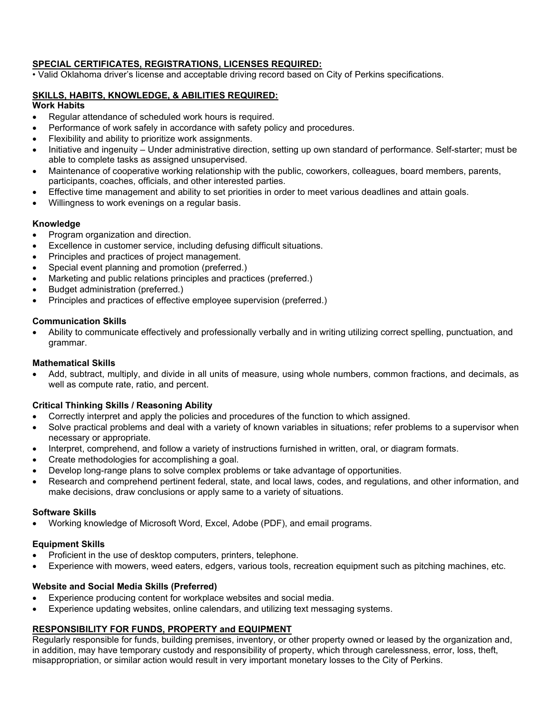## **SPECIAL CERTIFICATES, REGISTRATIONS, LICENSES REQUIRED:**

• Valid Oklahoma driver's license and acceptable driving record based on City of Perkins specifications.

## **SKILLS, HABITS, KNOWLEDGE, & ABILITIES REQUIRED:**

## **Work Habits**

- Regular attendance of scheduled work hours is required.
- Performance of work safely in accordance with safety policy and procedures.
- Flexibility and ability to prioritize work assignments.
- Initiative and ingenuity Under administrative direction, setting up own standard of performance. Self-starter; must be able to complete tasks as assigned unsupervised.
- Maintenance of cooperative working relationship with the public, coworkers, colleagues, board members, parents, participants, coaches, officials, and other interested parties.
- Effective time management and ability to set priorities in order to meet various deadlines and attain goals.
- Willingness to work evenings on a regular basis.

## **Knowledge**

- Program organization and direction.
- Excellence in customer service, including defusing difficult situations.
- Principles and practices of project management.
- Special event planning and promotion (preferred.)
- Marketing and public relations principles and practices (preferred.)
- Budget administration (preferred.)
- Principles and practices of effective employee supervision (preferred.)

## **Communication Skills**

• Ability to communicate effectively and professionally verbally and in writing utilizing correct spelling, punctuation, and grammar.

#### **Mathematical Skills**

• Add, subtract, multiply, and divide in all units of measure, using whole numbers, common fractions, and decimals, as well as compute rate, ratio, and percent.

## **Critical Thinking Skills / Reasoning Ability**

- Correctly interpret and apply the policies and procedures of the function to which assigned.
- Solve practical problems and deal with a variety of known variables in situations; refer problems to a supervisor when necessary or appropriate.
- Interpret, comprehend, and follow a variety of instructions furnished in written, oral, or diagram formats.
- Create methodologies for accomplishing a goal.
- Develop long-range plans to solve complex problems or take advantage of opportunities.
- Research and comprehend pertinent federal, state, and local laws, codes, and regulations, and other information, and make decisions, draw conclusions or apply same to a variety of situations.

#### **Software Skills**

• Working knowledge of Microsoft Word, Excel, Adobe (PDF), and email programs.

#### **Equipment Skills**

- Proficient in the use of desktop computers, printers, telephone.
- Experience with mowers, weed eaters, edgers, various tools, recreation equipment such as pitching machines, etc.

# **Website and Social Media Skills (Preferred)**

- Experience producing content for workplace websites and social media.
- Experience updating websites, online calendars, and utilizing text messaging systems.

# **RESPONSIBILITY FOR FUNDS, PROPERTY and EQUIPMENT**

Regularly responsible for funds, building premises, inventory, or other property owned or leased by the organization and, in addition, may have temporary custody and responsibility of property, which through carelessness, error, loss, theft, misappropriation, or similar action would result in very important monetary losses to the City of Perkins.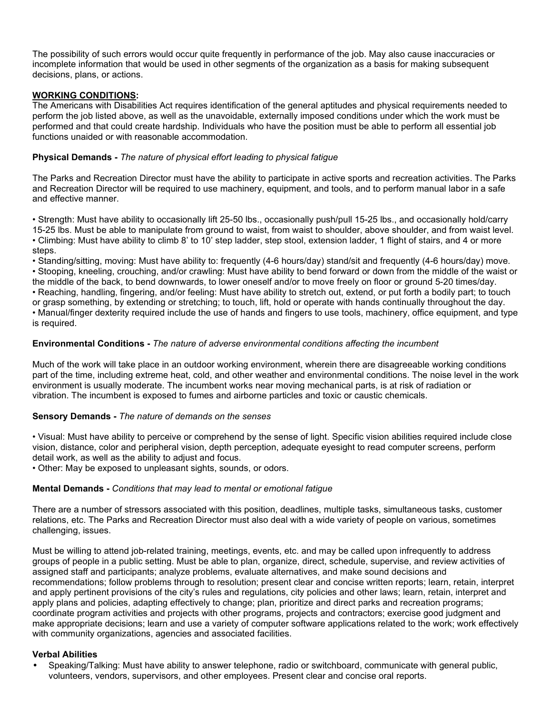The possibility of such errors would occur quite frequently in performance of the job. May also cause inaccuracies or incomplete information that would be used in other segments of the organization as a basis for making subsequent decisions, plans, or actions.

## **WORKING CONDITIONS:**

The Americans with Disabilities Act requires identification of the general aptitudes and physical requirements needed to perform the job listed above, as well as the unavoidable, externally imposed conditions under which the work must be performed and that could create hardship. Individuals who have the position must be able to perform all essential job functions unaided or with reasonable accommodation.

## **Physical Demands -** *The nature of physical effort leading to physical fatigue*

The Parks and Recreation Director must have the ability to participate in active sports and recreation activities. The Parks and Recreation Director will be required to use machinery, equipment, and tools, and to perform manual labor in a safe and effective manner.

• Strength: Must have ability to occasionally lift 25-50 lbs., occasionally push/pull 15-25 lbs., and occasionally hold/carry 15-25 lbs. Must be able to manipulate from ground to waist, from waist to shoulder, above shoulder, and from waist level. • Climbing: Must have ability to climb 8' to 10' step ladder, step stool, extension ladder, 1 flight of stairs, and 4 or more steps.

• Standing/sitting, moving: Must have ability to: frequently (4-6 hours/day) stand/sit and frequently (4-6 hours/day) move. • Stooping, kneeling, crouching, and/or crawling: Must have ability to bend forward or down from the middle of the waist or the middle of the back, to bend downwards, to lower oneself and/or to move freely on floor or ground 5-20 times/day. • Reaching, handling, fingering, and/or feeling: Must have ability to stretch out, extend, or put forth a bodily part; to touch or grasp something, by extending or stretching; to touch, lift, hold or operate with hands continually throughout the day. • Manual/finger dexterity required include the use of hands and fingers to use tools, machinery, office equipment, and type is required.

## **Environmental Conditions -** *The nature of adverse environmental conditions affecting the incumbent*

Much of the work will take place in an outdoor working environment, wherein there are disagreeable working conditions part of the time, including extreme heat, cold, and other weather and environmental conditions. The noise level in the work environment is usually moderate. The incumbent works near moving mechanical parts, is at risk of radiation or vibration. The incumbent is exposed to fumes and airborne particles and toxic or caustic chemicals.

#### **Sensory Demands -** *The nature of demands on the senses*

• Visual: Must have ability to perceive or comprehend by the sense of light. Specific vision abilities required include close vision, distance, color and peripheral vision, depth perception, adequate eyesight to read computer screens, perform detail work, as well as the ability to adjust and focus.

• Other: May be exposed to unpleasant sights, sounds, or odors.

#### **Mental Demands -** *Conditions that may lead to mental or emotional fatigue*

There are a number of stressors associated with this position, deadlines, multiple tasks, simultaneous tasks, customer relations, etc. The Parks and Recreation Director must also deal with a wide variety of people on various, sometimes challenging, issues.

Must be willing to attend job-related training, meetings, events, etc. and may be called upon infrequently to address groups of people in a public setting. Must be able to plan, organize, direct, schedule, supervise, and review activities of assigned staff and participants; analyze problems, evaluate alternatives, and make sound decisions and recommendations; follow problems through to resolution; present clear and concise written reports; learn, retain, interpret and apply pertinent provisions of the city's rules and regulations, city policies and other laws; learn, retain, interpret and apply plans and policies, adapting effectively to change; plan, prioritize and direct parks and recreation programs; coordinate program activities and projects with other programs, projects and contractors; exercise good judgment and make appropriate decisions; learn and use a variety of computer software applications related to the work; work effectively with community organizations, agencies and associated facilities.

#### **Verbal Abilities**

• Speaking/Talking: Must have ability to answer telephone, radio or switchboard, communicate with general public, volunteers, vendors, supervisors, and other employees. Present clear and concise oral reports.